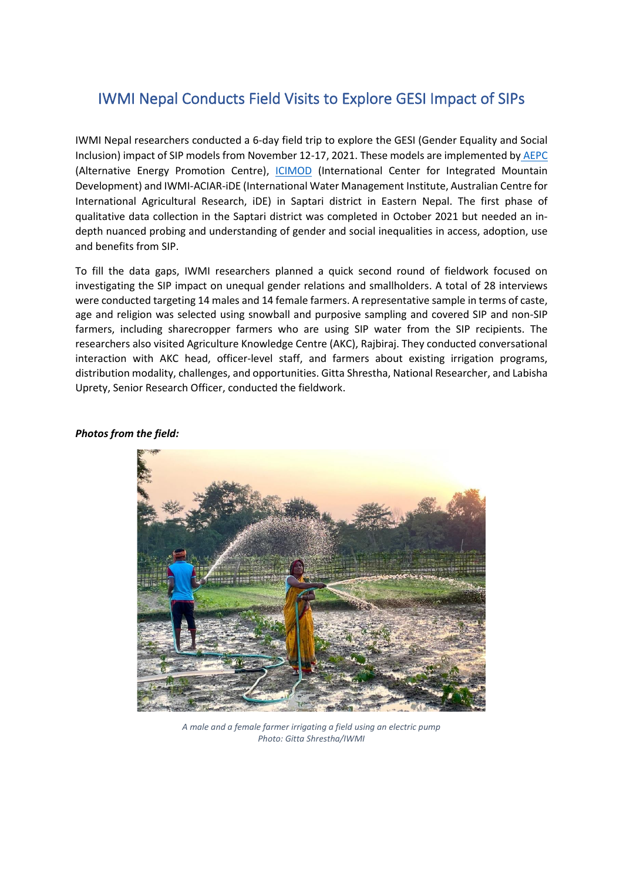## IWMI Nepal Conducts Field Visits to Explore GESI Impact of SIPs

IWMI Nepal researchers conducted a 6-day field trip to explore the GESI (Gender Equality and Social Inclusion) impact of SIP models from November 12-17, 2021. These models are implemented by [AEPC](https://www.aepc.gov.np/) (Alternative Energy Promotion Centre), [ICIMOD](https://www.icimod.org/) (International Center for Integrated Mountain Development) and IWMI-ACIAR-iDE (International Water Management Institute, Australian Centre for International Agricultural Research, iDE) in Saptari district in Eastern Nepal. The first phase of qualitative data collection in the Saptari district was completed in October 2021 but needed an indepth nuanced probing and understanding of gender and social inequalities in access, adoption, use and benefits from SIP.

To fill the data gaps, IWMI researchers planned a quick second round of fieldwork focused on investigating the SIP impact on unequal gender relations and smallholders. A total of 28 interviews were conducted targeting 14 males and 14 female farmers. A representative sample in terms of caste, age and religion was selected using snowball and purposive sampling and covered SIP and non-SIP farmers, including sharecropper farmers who are using SIP water from the SIP recipients. The researchers also visited Agriculture Knowledge Centre (AKC), Rajbiraj. They conducted conversational interaction with AKC head, officer-level staff, and farmers about existing irrigation programs, distribution modality, challenges, and opportunities. Gitta Shrestha, National Researcher, and Labisha Uprety, Senior Research Officer, conducted the fieldwork.



## *Photos from the field:*

*A male and a female farmer irrigating a field using an electric pump Photo: Gitta Shrestha/IWMI*